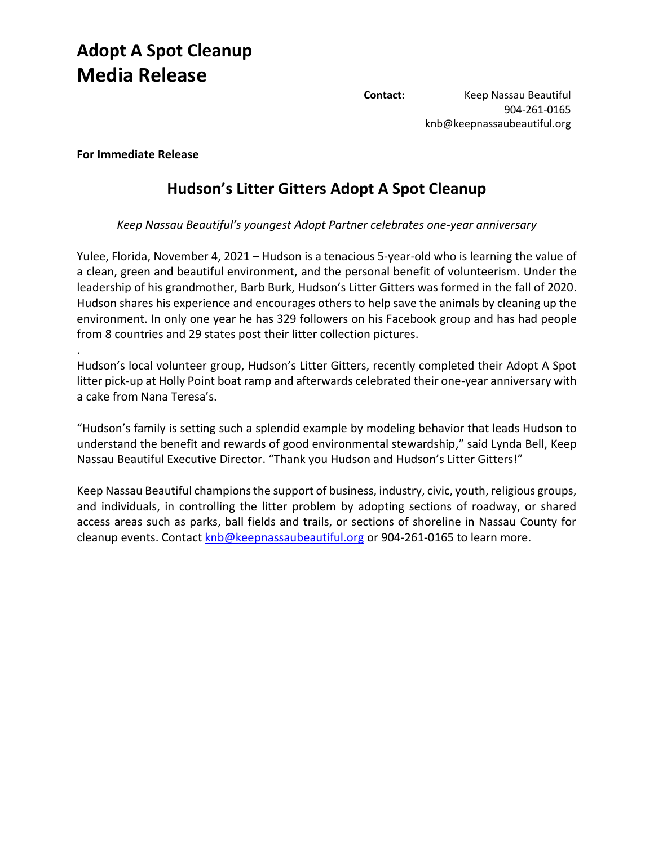## **Adopt A Spot Cleanup Media Release**

**Contact:** Keep Nassau Beautiful 904-261-0165 knb@keepnassaubeautiful.org

## **For Immediate Release**

.

## **Hudson's Litter Gitters Adopt A Spot Cleanup**

*Keep Nassau Beautiful's youngest Adopt Partner celebrates one-year anniversary*

Yulee, Florida, November 4, 2021 – Hudson is a tenacious 5-year-old who is learning the value of a clean, green and beautiful environment, and the personal benefit of volunteerism. Under the leadership of his grandmother, Barb Burk, Hudson's Litter Gitters was formed in the fall of 2020. Hudson shares his experience and encourages others to help save the animals by cleaning up the environment. In only one year he has 329 followers on his Facebook group and has had people from 8 countries and 29 states post their litter collection pictures.

Hudson's local volunteer group, Hudson's Litter Gitters, recently completed their Adopt A Spot litter pick-up at Holly Point boat ramp and afterwards celebrated their one-year anniversary with a cake from Nana Teresa's.

"Hudson's family is setting such a splendid example by modeling behavior that leads Hudson to understand the benefit and rewards of good environmental stewardship," said Lynda Bell, Keep Nassau Beautiful Executive Director. "Thank you Hudson and Hudson's Litter Gitters!"

Keep Nassau Beautiful champions the support of business, industry, civic, youth, religious groups, and individuals, in controlling the litter problem by adopting sections of roadway, or shared access areas such as parks, ball fields and trails, or sections of shoreline in Nassau County for cleanup events. Contact [knb@keepnassaubeautiful.org](mailto:knb@keepnassaubeautiful.org) or 904-261-0165 to learn more.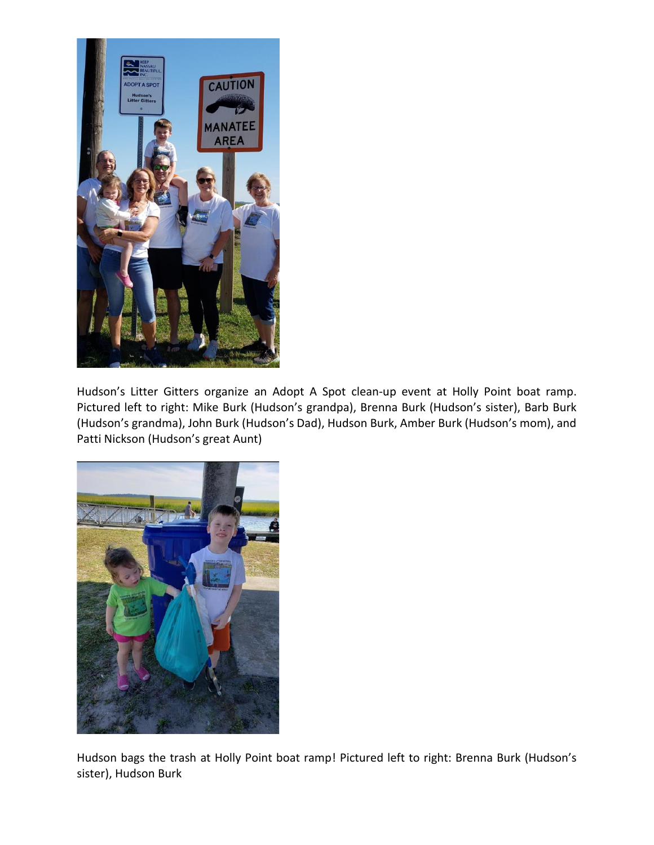

Hudson's Litter Gitters organize an Adopt A Spot clean-up event at Holly Point boat ramp. Pictured left to right: Mike Burk (Hudson's grandpa), Brenna Burk (Hudson's sister), Barb Burk (Hudson's grandma), John Burk (Hudson's Dad), Hudson Burk, Amber Burk (Hudson's mom), and Patti Nickson (Hudson's great Aunt)



Hudson bags the trash at Holly Point boat ramp! Pictured left to right: Brenna Burk (Hudson's sister), Hudson Burk